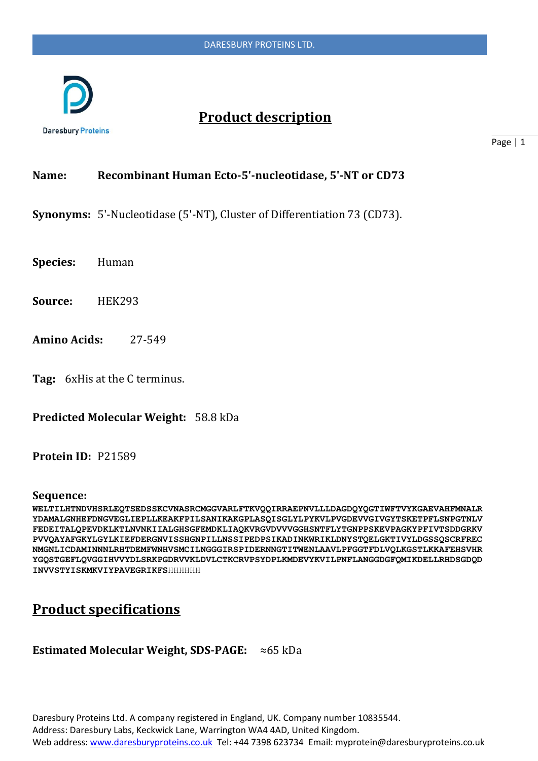

# **Product description**

**Daresbury Proteins** 

Page | 1

### **Name: Recombinant Human Ecto-5'-nucleotidase, 5'-NT or CD73**

**Synonyms:** 5'-Nucleotidase (5'-NT), Cluster of Differentiation 73 (CD73).

**Species:** Human

**Source:** HEK293

- **Amino Acids:** 27-549
- **Tag:** 6xHis at the C terminus.

**Predicted Molecular Weight:** 58.8 kDa

#### **Protein ID:** P21589

#### **Sequence:**

**WELTILHTNDVHSRLEQTSEDSSKCVNASRCMGGVARLFTKVQQIRRAEPNVLLLDAGDQYQGTIWFTVYKGAEVAHFMNALR YDAMALGNHEFDNGVEGLIEPLLKEAKFPILSANIKAKGPLASQISGLYLPYKVLPVGDEVVGIVGYTSKETPFLSNPGTNLV FEDEITALQPEVDKLKTLNVNKIIALGHSGFEMDKLIAQKVRGVDVVVGGHSNTFLYTGNPPSKEVPAGKYPFIVTSDDGRKV PVVQAYAFGKYLGYLKIEFDERGNVISSHGNPILLNSSIPEDPSIKADINKWRIKLDNYSTQELGKTIVYLDGSSQSCRFREC NMGNLICDAMINNNLRHTDEMFWNHVSMCILNGGGIRSPIDERNNGTITWENLAAVLPFGGTFDLVQLKGSTLKKAFEHSVHR YGQSTGEFLQVGGIHVVYDLSRKPGDRVVKLDVLCTKCRVPSYDPLKMDEVYKVILPNFLANGGDGFQMIKDELLRHDSGDQD INVVSTYISKMKVIYPAVEGRIKFS**HHHHHH

# **Product specifications**

### **Estimated Molecular Weight, SDS-PAGE:** ≈65 kDa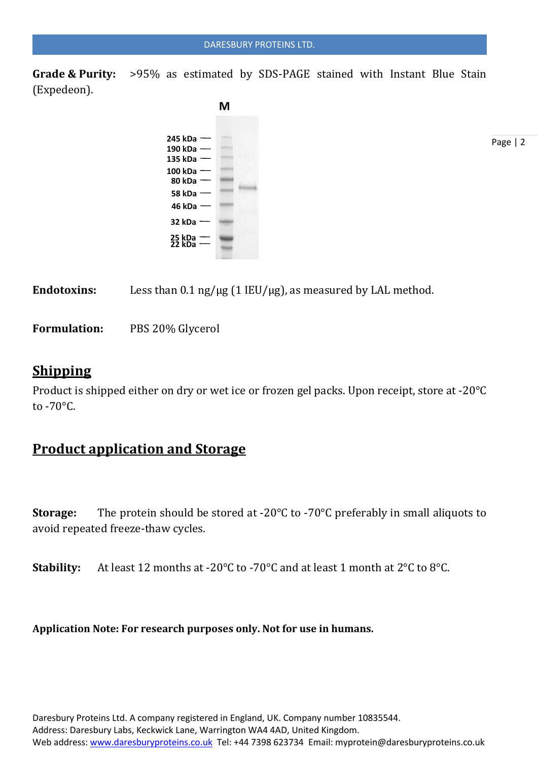**Grade & Purity:** >95% as estimated by SDS-PAGE stained with Instant Blue Stain (Expedeon).



Endotoxins: Less than 0.1 ng/µg (1 IEU/µg), as measured by LAL method.

**Formulation:** PBS 20% Glycerol

### **Shipping**

Product is shipped either on dry or wet ice or frozen gel packs. Upon receipt, store at -20°C to -70°C.

## **Product application and Storage**

**Storage:** The protein should be stored at -20°C to -70°C preferably in small aliquots to avoid repeated freeze-thaw cycles.

**Stability:** At least 12 months at -20°C to -70°C and at least 1 month at 2°C to 8°C.

**Application Note: For research purposes only. Not for use in humans.**

Page | 2